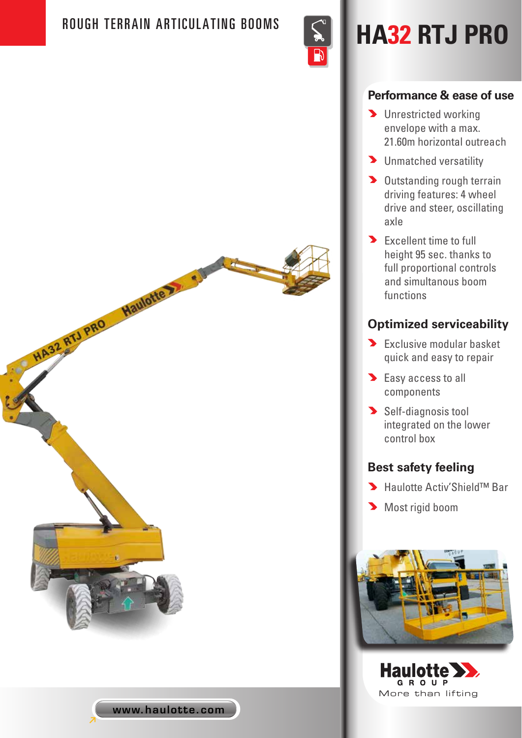HA32 RTJ PRO Haulotte 22



# ROUGH TERRAIN ARTICULATING BOOMS **And HA32 RTJ PRO**

#### **Performance & ease of use**

- **D** Unrestricted working envelope with a max. 21.60m horizontal outreach
- **D** Unmatched versatility
- Dutstanding rough terrain driving features: 4 wheel drive and steer, oscillating axle
- **Excellent time to full** height 95 sec. thanks to full proportional controls and simultanous boom functions

## **Optimized serviceability**

- Exclusive modular basket quick and easy to repair
- Easy access to all components
- Self-diagnosis tool integrated on the lower control box

### **Best safety feeling**

- Haulotte Activ'Shield™ Bar
- Most rigid boom